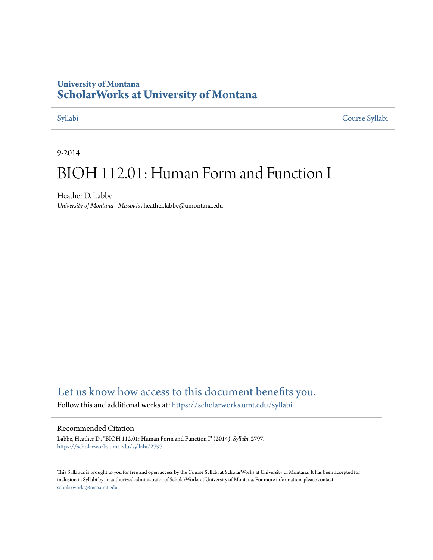# **University of Montana [ScholarWorks at University of Montana](https://scholarworks.umt.edu?utm_source=scholarworks.umt.edu%2Fsyllabi%2F2797&utm_medium=PDF&utm_campaign=PDFCoverPages)**

[Syllabi](https://scholarworks.umt.edu/syllabi?utm_source=scholarworks.umt.edu%2Fsyllabi%2F2797&utm_medium=PDF&utm_campaign=PDFCoverPages) [Course Syllabi](https://scholarworks.umt.edu/course_syllabi?utm_source=scholarworks.umt.edu%2Fsyllabi%2F2797&utm_medium=PDF&utm_campaign=PDFCoverPages)

9-2014

# BIOH 112.01: Human Form and Function I

Heather D. Labbe *University of Montana - Missoula*, heather.labbe@umontana.edu

# [Let us know how access to this document benefits you.](https://goo.gl/forms/s2rGfXOLzz71qgsB2)

Follow this and additional works at: [https://scholarworks.umt.edu/syllabi](https://scholarworks.umt.edu/syllabi?utm_source=scholarworks.umt.edu%2Fsyllabi%2F2797&utm_medium=PDF&utm_campaign=PDFCoverPages)

#### Recommended Citation

Labbe, Heather D., "BIOH 112.01: Human Form and Function I" (2014). *Syllabi*. 2797. [https://scholarworks.umt.edu/syllabi/2797](https://scholarworks.umt.edu/syllabi/2797?utm_source=scholarworks.umt.edu%2Fsyllabi%2F2797&utm_medium=PDF&utm_campaign=PDFCoverPages)

This Syllabus is brought to you for free and open access by the Course Syllabi at ScholarWorks at University of Montana. It has been accepted for inclusion in Syllabi by an authorized administrator of ScholarWorks at University of Montana. For more information, please contact [scholarworks@mso.umt.edu](mailto:scholarworks@mso.umt.edu).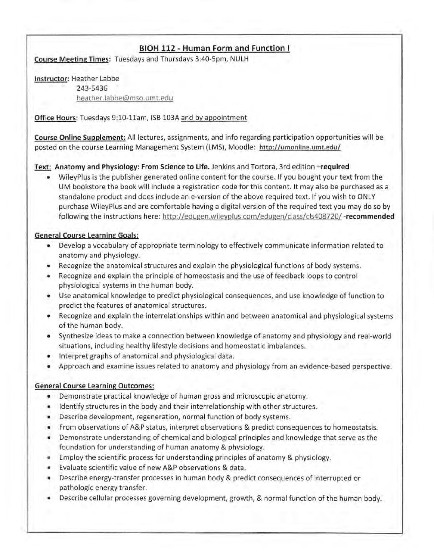# **BIOH** *112 -* **Human Form and Function I**

Course Meeting Times: Tuesdays and Thursdays 3:4Q-5pm, NULH

Instructor: Heather Labbe 243-5436 heather.labbe@mso.umt.edu

Office Hours: Tuesdays 9:10-11am, ISB 103A and by appointment

Course Online Supplement: All lectures, assignments, and info regarding participation opportunities will be posted on the course Learning Management System (LMS), Moodle: http://umonline.umt.edu/

# Text: Anatomy and Physiology: From Science to Life. Jenkins and Tortora, 3rd edition -required

• WileyPlus is the publisher generated online content for the course. If you bought your text from the UM bookstore the book will include a registration code for this content. It may also be purchased as a standalone product and does include an e-version of the above required text. If you wish to ONLY purchase WileyPlus and are comfortable having a digital version of the required text you may do so by following the instructions here: http://edugen.wileyplus.com/edugen/class/cls408720/ -recommended

# General Course Learning Goals:

- Develop a vocabulary of appropriate terminology to effectively communicate information related to anatomy and physiology.
- Recognize the anatomical structures and explain the physiological functions of body systems.
- Recognize and explain the principle of homeostasis and the use of feedback loops to control physiological systems in the human body.
- Use anatomical knowledge to predict physiological consequences, and use knowledge of function to predict the features of anatomical structures.
- Recognize and explain the interrelationships within and between anatomical and physiological systems of the human body.
- Synthesize ideas to make a connection between knowledge of anatomy and physiology and real-world situations, including healthy lifestyle decisions and homeostatic imbalances.
- Interpret graphs of anatomical and physioiogical data.
- Approach and examine issues related to anatomy and physiology from an evidence-based perspective.

### General Course Learning Outcomes:

- Demonstrate practical knowledge of human gross and microscopic anatomy.
- Identify structures in the body and their interrelationship with other structures,
- Describe development, regeneration, normal function of body systems.
- From observations of A&P status, interpret observations & predict consequences to homeostatsis.
- Demonstrate understanding of chemical and biological principles and knowledge that serve as the foundation for understanding of human anatomy & physiology.
- Employ the scientific process for understanding principles of anatomy & physiology.
- Evaluate scientific value of new A&P observations & data.
- Describe energy-transfer processes in human body & predict consequences of interrupted or pathologic energy transfer.
- Describe cellular processes governing development, growth, & normal function of the human body.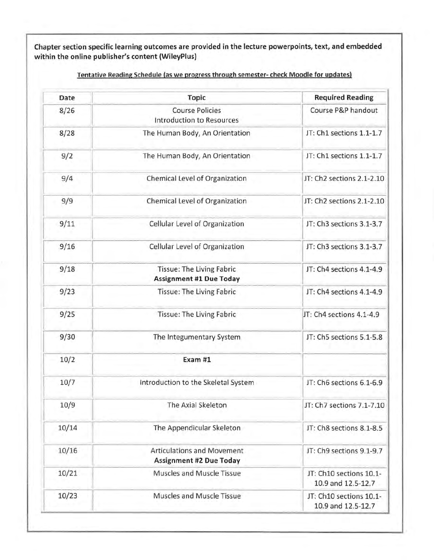**Chapter section specific learning outcomes are provided in the lecture powerpoints, text, and embedded within the online publisher's content (WileyPlus)**

| Date  | <b>Topic</b>                                                        | <b>Required Reading</b>                       |
|-------|---------------------------------------------------------------------|-----------------------------------------------|
| 8/26  | <b>Course Policies</b><br><b>Introduction to Resources</b>          | Course P&P handout                            |
| 8/28  | The Human Body, An Orientation                                      | JT: Ch1 sections 1.1-1.7                      |
| 9/2   | The Human Body, An Orientation                                      | JT: Ch1 sections 1.1-1.7                      |
| 9/4   | Chemical Level of Organization                                      | JT: Ch2 sections 2.1-2.10                     |
| 9/9   | Chemical Level of Organization                                      | JT: Ch2 sections 2.1-2.10                     |
| 9/11  | Cellular Level of Organization                                      | JT: Ch3 sections 3.1-3.7                      |
| 9/16  | Cellular Level of Organization                                      | JT: Ch3 sections 3.1-3.7                      |
| 9/18  | <b>Tissue: The Living Fabric</b><br><b>Assignment #1 Due Today</b>  | JT: Ch4 sections 4.1-4.9                      |
| 9/23  | Tissue: The Living Fabric                                           | JT: Ch4 sections 4.1-4.9                      |
| 9/25  | Tissue: The Living Fabric                                           | JT: Ch4 sections 4.1-4.9                      |
| 9/30  | The Integumentary System                                            | JT: Ch5 sections 5.1-5.8                      |
| 10/2  | Exam #1                                                             |                                               |
| 10/7  | Introduction to the Skeletal System                                 | JT: Ch6 sections 6.1-6.9                      |
| 10/9  | The Axial Skeleton                                                  | JT: Ch7 sections 7.1-7.10                     |
| 10/14 | The Appendicular Skeleton                                           | JT: Ch8 sections 8.1-8.5                      |
| 10/16 | <b>Articulations and Movement</b><br><b>Assignment #2 Due Today</b> | JT: Ch9 sections 9.1-9.7                      |
| 10/21 | Muscles and Muscle Tissue                                           | JT: Ch10 sections 10.1-<br>10.9 and 12.5-12.7 |
| 10/23 | Muscles and Muscle Tissue                                           | JT: Ch10 sections 10.1-<br>10.9 and 12.5-12.7 |

**Tentative Reading Schedule (as we progress through semester- check Moodle for updates)**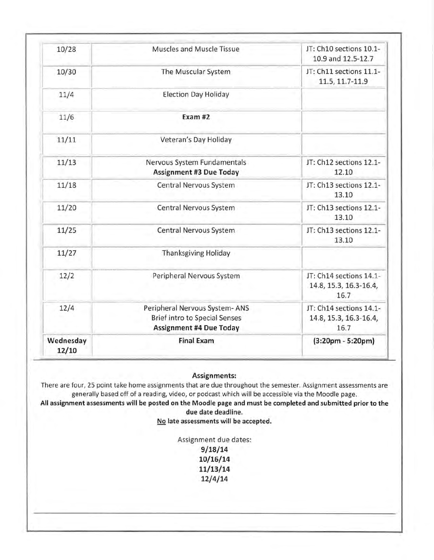| Wednesday<br>12/10 | <b>Final Exam</b>                                                                                       | $(3:20pm - 5:20pm)$                                       |
|--------------------|---------------------------------------------------------------------------------------------------------|-----------------------------------------------------------|
| 12/4               | Peripheral Nervous System-ANS<br><b>Brief intro to Special Senses</b><br><b>Assignment #4 Due Today</b> | JT: Ch14 sections 14.1-<br>14.8, 15.3, 16.3-16.4,<br>16.7 |
| 12/2               | Peripheral Nervous System                                                                               | JT: Ch14 sections 14.1-<br>14.8, 15.3, 16.3-16.4,<br>16.7 |
| 11/27              | <b>Thanksgiving Holiday</b>                                                                             |                                                           |
| 11/25              | Central Nervous System                                                                                  | JT: Ch13 sections 12.1-<br>13.10                          |
| 11/20              | Central Nervous System                                                                                  | JT: Ch13 sections 12.1-<br>13.10                          |
| 11/18              | Central Nervous System                                                                                  | JT: Ch13 sections 12.1-<br>13.10                          |
| 11/13              | Nervous System Fundamentals<br><b>Assignment #3 Due Today</b>                                           | JT: Ch12 sections 12.1-<br>12.10                          |
| 11/11              | Veteran's Day Holiday                                                                                   |                                                           |
| 11/6               | Exam #2                                                                                                 |                                                           |
| 11/4               | <b>Election Day Holiday</b>                                                                             |                                                           |
| 10/30              | The Muscular System                                                                                     | JT: Ch11 sections 11.1-<br>11.5, 11.7-11.9                |
| 10/28              | Muscles and Muscle Tissue                                                                               | JT: Ch10 sections 10.1-<br>10.9 and 12.5-12.7             |

**Assignments:**

There are four, 25 point take home assignments that are due throughout the semester. Assignment assessments are generally based off of a reading, video, or podcast which will be accessible via the Moodle page.

**All assignment assessments will be posted on the Moodie page and must be completed and submitted prior to the due date deadline.**

**No late assessments will be accepted.**

Assignment due dates: **9/1 8/14 10/16/14 11/13/14 12/4/14**